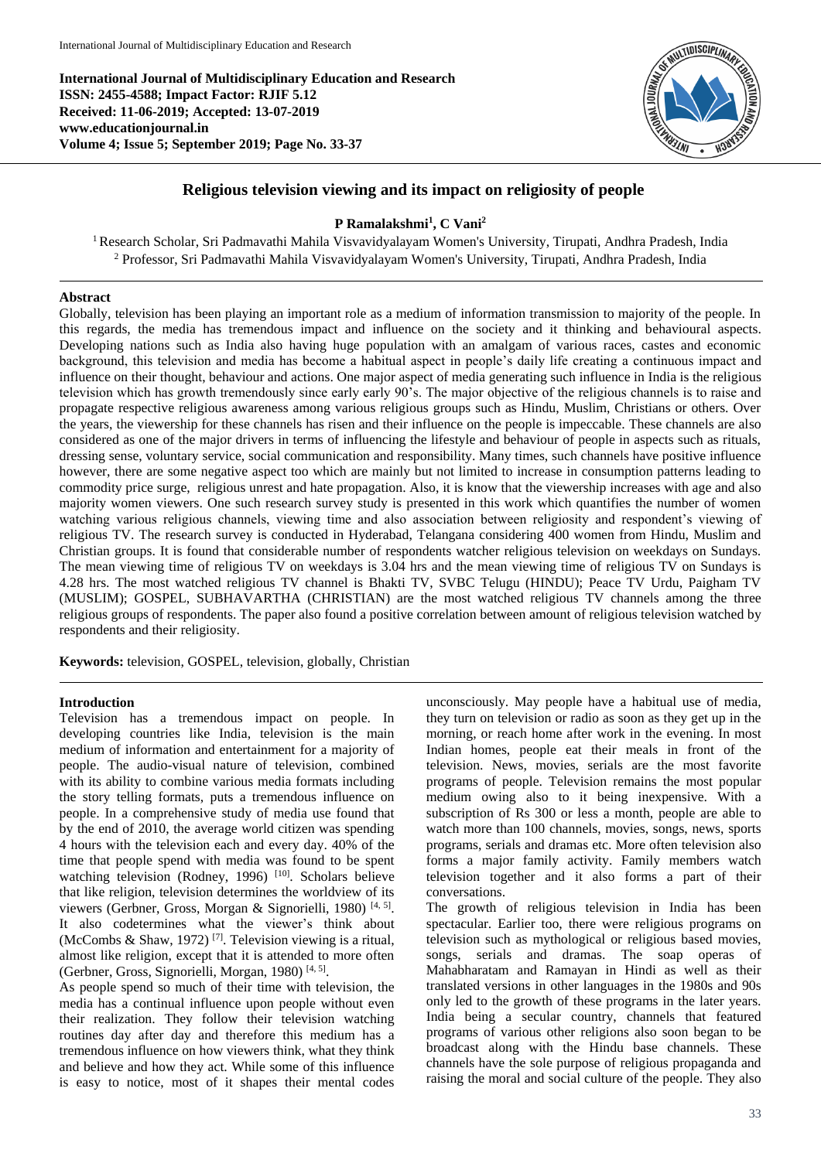**International Journal of Multidisciplinary Education and Research ISSN: 2455-4588; Impact Factor: RJIF 5.12 Received: 11-06-2019; Accepted: 13-07-2019 www.educationjournal.in Volume 4; Issue 5; September 2019; Page No. 33-37**



# **Religious television viewing and its impact on religiosity of people**

# **P Ramalakshmi<sup>1</sup> , C Vani<sup>2</sup>**

<sup>1</sup> Research Scholar, Sri Padmavathi Mahila Visvavidyalayam Women's University, Tirupati, Andhra Pradesh, India <sup>2</sup> Professor, Sri Padmavathi Mahila Visvavidyalayam Women's University, Tirupati, Andhra Pradesh, India

## **Abstract**

Globally, television has been playing an important role as a medium of information transmission to majority of the people. In this regards, the media has tremendous impact and influence on the society and it thinking and behavioural aspects. Developing nations such as India also having huge population with an amalgam of various races, castes and economic background, this television and media has become a habitual aspect in people's daily life creating a continuous impact and influence on their thought, behaviour and actions. One major aspect of media generating such influence in India is the religious television which has growth tremendously since early early 90's. The major objective of the religious channels is to raise and propagate respective religious awareness among various religious groups such as Hindu, Muslim, Christians or others. Over the years, the viewership for these channels has risen and their influence on the people is impeccable. These channels are also considered as one of the major drivers in terms of influencing the lifestyle and behaviour of people in aspects such as rituals, dressing sense, voluntary service, social communication and responsibility. Many times, such channels have positive influence however, there are some negative aspect too which are mainly but not limited to increase in consumption patterns leading to commodity price surge, religious unrest and hate propagation. Also, it is know that the viewership increases with age and also majority women viewers. One such research survey study is presented in this work which quantifies the number of women watching various religious channels, viewing time and also association between religiosity and respondent's viewing of religious TV. The research survey is conducted in Hyderabad, Telangana considering 400 women from Hindu, Muslim and Christian groups. It is found that considerable number of respondents watcher religious television on weekdays on Sundays. The mean viewing time of religious TV on weekdays is 3.04 hrs and the mean viewing time of religious TV on Sundays is 4.28 hrs. The most watched religious TV channel is Bhakti TV, SVBC Telugu (HINDU); Peace TV Urdu, Paigham TV (MUSLIM); GOSPEL, SUBHAVARTHA (CHRISTIAN) are the most watched religious TV channels among the three religious groups of respondents. The paper also found a positive correlation between amount of religious television watched by respondents and their religiosity.

**Keywords:** television, GOSPEL, television, globally, Christian

## **Introduction**

Television has a tremendous impact on people. In developing countries like India, television is the main medium of information and entertainment for a majority of people. The audio-visual nature of television, combined with its ability to combine various media formats including the story telling formats, puts a tremendous influence on people. In a comprehensive study of media use found that by the end of 2010, the average world citizen was spending 4 hours with the television each and every day. 40% of the time that people spend with media was found to be spent watching television (Rodney, 1996)<sup>[10]</sup>. Scholars believe that like religion, television determines the worldview of its viewers (Gerbner, Gross, Morgan & Signorielli, 1980)<sup>[4, 5]</sup>. It also codetermines what the viewer's think about (McCombs & Shaw, 1972)<sup>[7]</sup>. Television viewing is a ritual, almost like religion, except that it is attended to more often (Gerbner, Gross, Signorielli, Morgan, 1980)<sup>[4, 5]</sup>.

As people spend so much of their time with television, the media has a continual influence upon people without even their realization. They follow their television watching routines day after day and therefore this medium has a tremendous influence on how viewers think, what they think and believe and how they act. While some of this influence is easy to notice, most of it shapes their mental codes

unconsciously. May people have a habitual use of media, they turn on television or radio as soon as they get up in the morning, or reach home after work in the evening. In most Indian homes, people eat their meals in front of the television. News, movies, serials are the most favorite programs of people. Television remains the most popular medium owing also to it being inexpensive. With a subscription of Rs 300 or less a month, people are able to watch more than 100 channels, movies, songs, news, sports programs, serials and dramas etc. More often television also forms a major family activity. Family members watch television together and it also forms a part of their conversations.

The growth of religious television in India has been spectacular. Earlier too, there were religious programs on television such as mythological or religious based movies, songs, serials and dramas. The soap operas of Mahabharatam and Ramayan in Hindi as well as their translated versions in other languages in the 1980s and 90s only led to the growth of these programs in the later years. India being a secular country, channels that featured programs of various other religions also soon began to be broadcast along with the Hindu base channels. These channels have the sole purpose of religious propaganda and raising the moral and social culture of the people. They also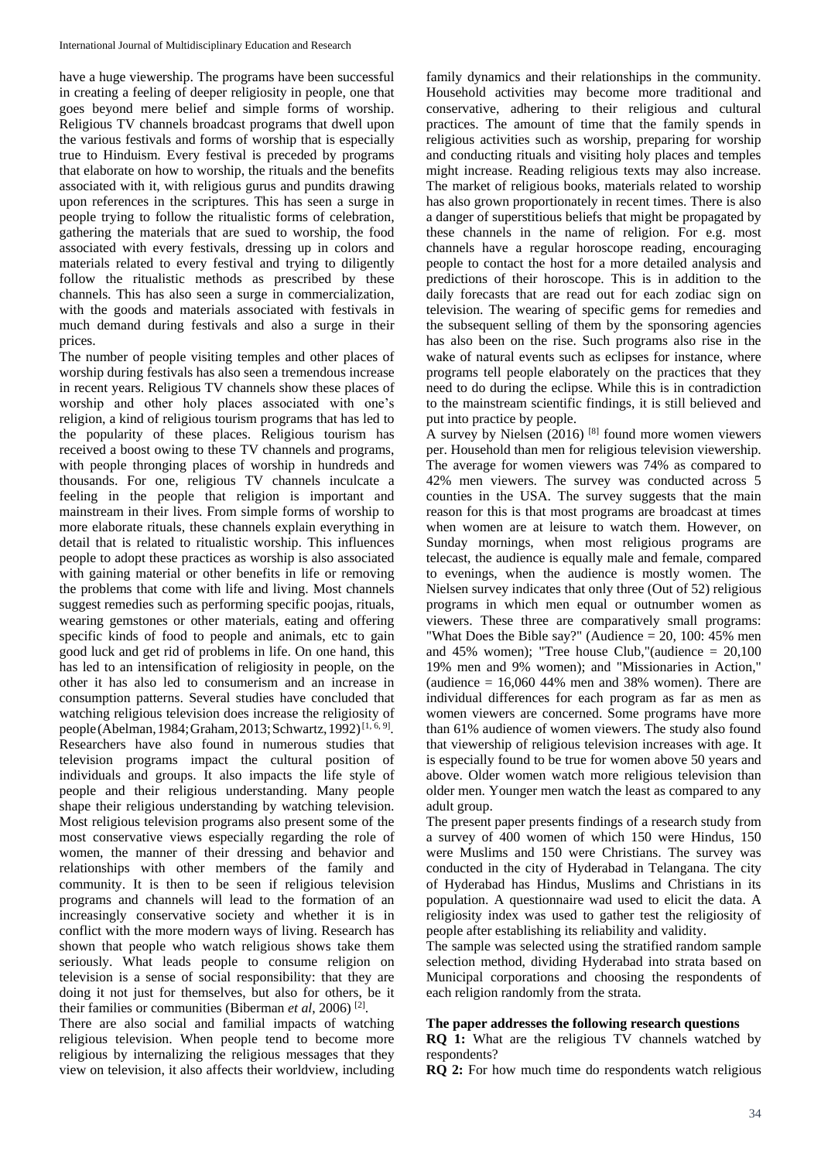have a huge viewership. The programs have been successful in creating a feeling of deeper religiosity in people, one that goes beyond mere belief and simple forms of worship. Religious TV channels broadcast programs that dwell upon the various festivals and forms of worship that is especially true to Hinduism. Every festival is preceded by programs that elaborate on how to worship, the rituals and the benefits associated with it, with religious gurus and pundits drawing upon references in the scriptures. This has seen a surge in people trying to follow the ritualistic forms of celebration, gathering the materials that are sued to worship, the food associated with every festivals, dressing up in colors and materials related to every festival and trying to diligently follow the ritualistic methods as prescribed by these channels. This has also seen a surge in commercialization, with the goods and materials associated with festivals in much demand during festivals and also a surge in their prices.

The number of people visiting temples and other places of worship during festivals has also seen a tremendous increase in recent years. Religious TV channels show these places of worship and other holy places associated with one's religion, a kind of religious tourism programs that has led to the popularity of these places. Religious tourism has received a boost owing to these TV channels and programs, with people thronging places of worship in hundreds and thousands. For one, religious TV channels inculcate a feeling in the people that religion is important and mainstream in their lives. From simple forms of worship to more elaborate rituals, these channels explain everything in detail that is related to ritualistic worship. This influences people to adopt these practices as worship is also associated with gaining material or other benefits in life or removing the problems that come with life and living. Most channels suggest remedies such as performing specific poojas, rituals, wearing gemstones or other materials, eating and offering specific kinds of food to people and animals, etc to gain good luck and get rid of problems in life. On one hand, this has led to an intensification of religiosity in people, on the other it has also led to consumerism and an increase in consumption patterns. Several studies have concluded that watching religious television does increase the religiosity of people (Abelman, 1984; Graham, 2013; Schwartz, 1992)<sup>[1, 6, 9]</sup>. Researchers have also found in numerous studies that television programs impact the cultural position of individuals and groups. It also impacts the life style of people and their religious understanding. Many people shape their religious understanding by watching television. Most religious television programs also present some of the most conservative views especially regarding the role of women, the manner of their dressing and behavior and relationships with other members of the family and community. It is then to be seen if religious television programs and channels will lead to the formation of an increasingly conservative society and whether it is in conflict with the more modern ways of living. Research has shown that people who watch religious shows take them seriously. What leads people to consume religion on television is a sense of social responsibility: that they are doing it not just for themselves, but also for others, be it their families or communities (Biberman *et al*, 2006) [2] .

There are also social and familial impacts of watching religious television. When people tend to become more religious by internalizing the religious messages that they view on television, it also affects their worldview, including family dynamics and their relationships in the community. Household activities may become more traditional and conservative, adhering to their religious and cultural practices. The amount of time that the family spends in religious activities such as worship, preparing for worship and conducting rituals and visiting holy places and temples might increase. Reading religious texts may also increase. The market of religious books, materials related to worship has also grown proportionately in recent times. There is also a danger of superstitious beliefs that might be propagated by these channels in the name of religion. For e.g. most channels have a regular horoscope reading, encouraging people to contact the host for a more detailed analysis and predictions of their horoscope. This is in addition to the daily forecasts that are read out for each zodiac sign on television. The wearing of specific gems for remedies and the subsequent selling of them by the sponsoring agencies has also been on the rise. Such programs also rise in the wake of natural events such as eclipses for instance, where programs tell people elaborately on the practices that they need to do during the eclipse. While this is in contradiction to the mainstream scientific findings, it is still believed and put into practice by people.

A survey by Nielsen  $(2016)$  <sup>[8]</sup> found more women viewers per. Household than men for religious television viewership. The average for women viewers was 74% as compared to 42% men viewers. The survey was conducted across 5 counties in the USA. The survey suggests that the main reason for this is that most programs are broadcast at times when women are at leisure to watch them. However, on Sunday mornings, when most religious programs are telecast, the audience is equally male and female, compared to evenings, when the audience is mostly women. The Nielsen survey indicates that only three (Out of 52) religious programs in which men equal or outnumber women as viewers. These three are comparatively small programs: "What Does the Bible say?" (Audience = 20, 100: 45% men and 45% women); "Tree house Club,"(audience  $= 20,100$ 19% men and 9% women); and "Missionaries in Action," (audience  $= 16,060,44\%$  men and 38% women). There are individual differences for each program as far as men as women viewers are concerned. Some programs have more than 61% audience of women viewers. The study also found that viewership of religious television increases with age. It is especially found to be true for women above 50 years and above. Older women watch more religious television than older men. Younger men watch the least as compared to any adult group.

The present paper presents findings of a research study from a survey of 400 women of which 150 were Hindus, 150 were Muslims and 150 were Christians. The survey was conducted in the city of Hyderabad in Telangana. The city of Hyderabad has Hindus, Muslims and Christians in its population. A questionnaire wad used to elicit the data. A religiosity index was used to gather test the religiosity of people after establishing its reliability and validity.

The sample was selected using the stratified random sample selection method, dividing Hyderabad into strata based on Municipal corporations and choosing the respondents of each religion randomly from the strata.

#### **The paper addresses the following research questions**

**RQ 1:** What are the religious TV channels watched by respondents?

**RQ 2:** For how much time do respondents watch religious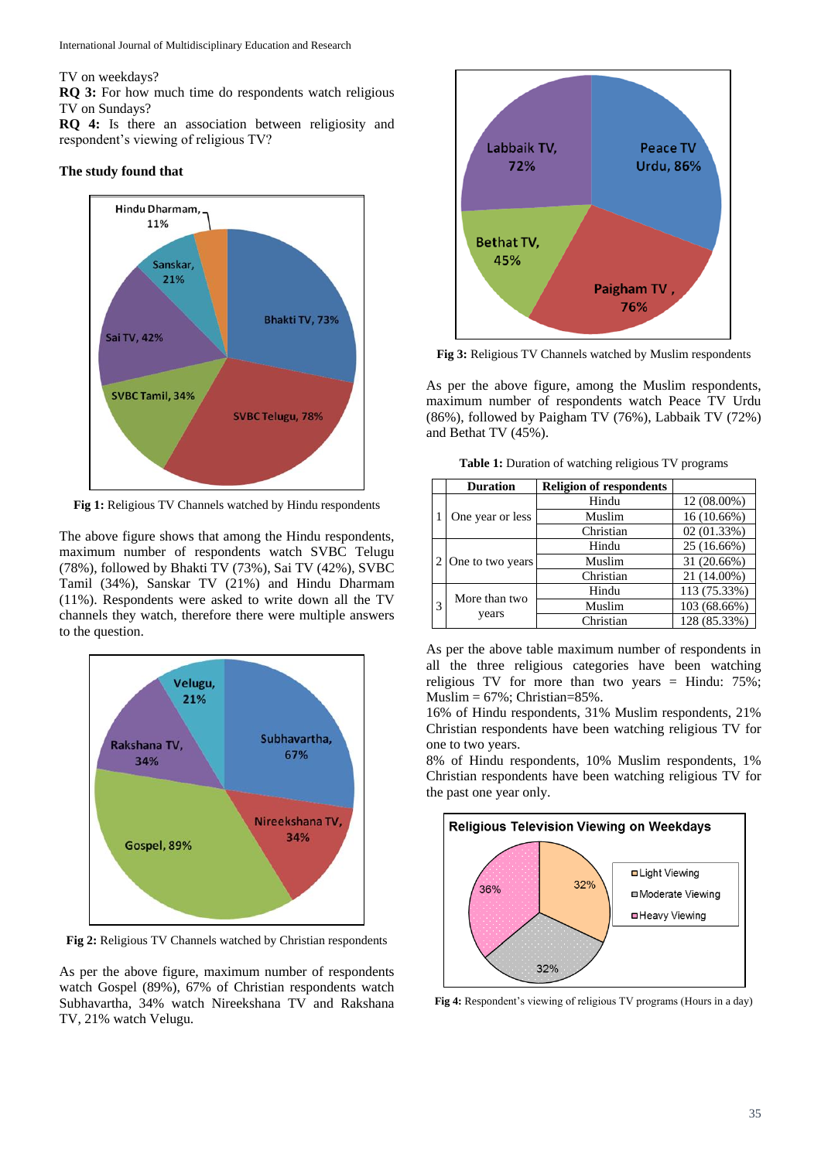#### TV on weekdays?

**RQ 3:** For how much time do respondents watch religious TV on Sundays?

**RQ 4:** Is there an association between religiosity and respondent's viewing of religious TV?

#### **The study found that**



**Fig 1:** Religious TV Channels watched by Hindu respondents

The above figure shows that among the Hindu respondents, maximum number of respondents watch SVBC Telugu (78%), followed by Bhakti TV (73%), Sai TV (42%), SVBC Tamil (34%), Sanskar TV (21%) and Hindu Dharmam (11%). Respondents were asked to write down all the TV channels they watch, therefore there were multiple answers to the question.



**Fig 2:** Religious TV Channels watched by Christian respondents

As per the above figure, maximum number of respondents watch Gospel (89%), 67% of Christian respondents watch Subhavartha, 34% watch Nireekshana TV and Rakshana TV, 21% watch Velugu.



**Fig 3:** Religious TV Channels watched by Muslim respondents

As per the above figure, among the Muslim respondents, maximum number of respondents watch Peace TV Urdu (86%), followed by Paigham TV (76%), Labbaik TV (72%) and Bethat TV (45%).

**Table 1:** Duration of watching religious TV programs

|   | <b>Duration</b>        | <b>Religion of respondents</b> |              |
|---|------------------------|--------------------------------|--------------|
|   | One year or less       | Hindu                          | 12 (08.00%)  |
|   |                        | Muslim                         | 16 (10.66%)  |
|   |                        | Christian                      | 02(01.33%)   |
|   | One to two years       | Hindu                          | 25 (16.66%)  |
|   |                        | Muslim                         | 31 (20.66%)  |
|   |                        | Christian                      | 21 (14.00%)  |
| 3 | More than two<br>years | Hindu                          | 113 (75.33%) |
|   |                        | Muslim                         | 103 (68.66%) |
|   |                        | Christian                      | 128 (85.33%) |

As per the above table maximum number of respondents in all the three religious categories have been watching religious TV for more than two years = Hindu: 75%;  $Muslim = 67\%$ ; Christian=85%.

16% of Hindu respondents, 31% Muslim respondents, 21% Christian respondents have been watching religious TV for one to two years.

8% of Hindu respondents, 10% Muslim respondents, 1% Christian respondents have been watching religious TV for the past one year only.



**Fig 4:** Respondent's viewing of religious TV programs (Hours in a day)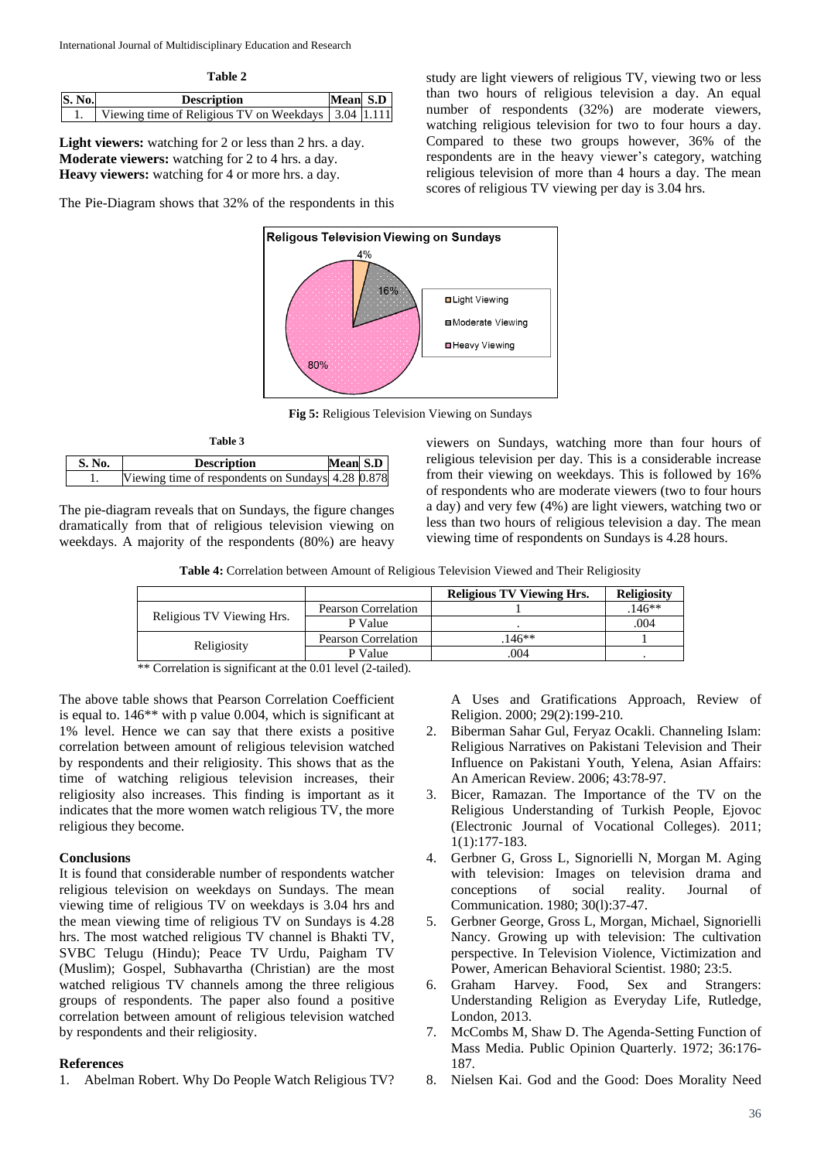**Table 2**

| <b>S. No.</b> | <b>Description</b>                                      | Mean S.D |  |
|---------------|---------------------------------------------------------|----------|--|
|               | Viewing time of Religious TV on Weekdays   3.04   1.111 |          |  |

**Light viewers:** watching for 2 or less than 2 hrs. a day. **Moderate viewers:** watching for 2 to 4 hrs. a day. **Heavy viewers:** watching for 4 or more hrs. a day.

The Pie-Diagram shows that 32% of the respondents in this

study are light viewers of religious TV, viewing two or less than two hours of religious television a day. An equal number of respondents (32%) are moderate viewers, watching religious television for two to four hours a day. Compared to these two groups however, 36% of the respondents are in the heavy viewer's category, watching religious television of more than 4 hours a day. The mean scores of religious TV viewing per day is 3.04 hrs.



**Fig 5:** Religious Television Viewing on Sundays

| Table 3 |                                                   |                 |  |  |  |  |  |  |  |
|---------|---------------------------------------------------|-----------------|--|--|--|--|--|--|--|
| S. No.  | <b>Description</b>                                | <b>Mean S.D</b> |  |  |  |  |  |  |  |
|         | Viewing time of respondents on Sundays 4.28 0.878 |                 |  |  |  |  |  |  |  |

The pie-diagram reveals that on Sundays, the figure changes dramatically from that of religious television viewing on weekdays. A majority of the respondents (80%) are heavy viewers on Sundays, watching more than four hours of religious television per day. This is a considerable increase from their viewing on weekdays. This is followed by 16% of respondents who are moderate viewers (two to four hours a day) and very few (4%) are light viewers, watching two or less than two hours of religious television a day. The mean viewing time of respondents on Sundays is 4.28 hours.

|                           |                     | <b>Religious TV Viewing Hrs.</b> | <b>Religiosity</b> |
|---------------------------|---------------------|----------------------------------|--------------------|
| Religious TV Viewing Hrs. | Pearson Correlation |                                  | $146**$            |
|                           | P Value             |                                  | .004               |
|                           | Pearson Correlation | $146**$                          |                    |
| Religiosity               | P Value             | .004                             |                    |

\*\* Correlation is significant at the 0.01 level (2-tailed).

The above table shows that Pearson Correlation Coefficient is equal to. 146\*\* with p value 0.004, which is significant at 1% level. Hence we can say that there exists a positive correlation between amount of religious television watched by respondents and their religiosity. This shows that as the time of watching religious television increases, their religiosity also increases. This finding is important as it indicates that the more women watch religious TV, the more religious they become.

### **Conclusions**

It is found that considerable number of respondents watcher religious television on weekdays on Sundays. The mean viewing time of religious TV on weekdays is 3.04 hrs and the mean viewing time of religious TV on Sundays is 4.28 hrs. The most watched religious TV channel is Bhakti TV, SVBC Telugu (Hindu); Peace TV Urdu, Paigham TV (Muslim); Gospel, Subhavartha (Christian) are the most watched religious TV channels among the three religious groups of respondents. The paper also found a positive correlation between amount of religious television watched by respondents and their religiosity.

#### **References**

1. Abelman Robert. Why Do People Watch Religious TV?

A Uses and Gratifications Approach, Review of Religion. 2000; 29(2):199-210.

- 2. Biberman Sahar Gul, Feryaz Ocakli. Channeling Islam: Religious Narratives on Pakistani Television and Their Influence on Pakistani Youth, Yelena, Asian Affairs: An American Review. 2006; 43:78-97.
- 3. Bicer, Ramazan. The Importance of the TV on the Religious Understanding of Turkish People, Ejovoc (Electronic Journal of Vocational Colleges). 2011; 1(1):177-183.
- 4. Gerbner G, Gross L, Signorielli N, Morgan M. Aging with television: Images on television drama and conceptions of social reality. Journal of Communication. 1980; 30(l):37-47.
- 5. Gerbner George, Gross L, Morgan, Michael, Signorielli Nancy. Growing up with television: The cultivation perspective. In Television Violence, Victimization and Power, American Behavioral Scientist. 1980; 23:5.
- 6. Graham Harvey. Food, Sex and Strangers: Understanding Religion as Everyday Life, Rutledge, London, 2013.
- 7. McCombs M, Shaw D. The Agenda-Setting Function of Mass Media. Public Opinion Quarterly. 1972; 36:176- 187.
- 8. Nielsen Kai. God and the Good: Does Morality Need